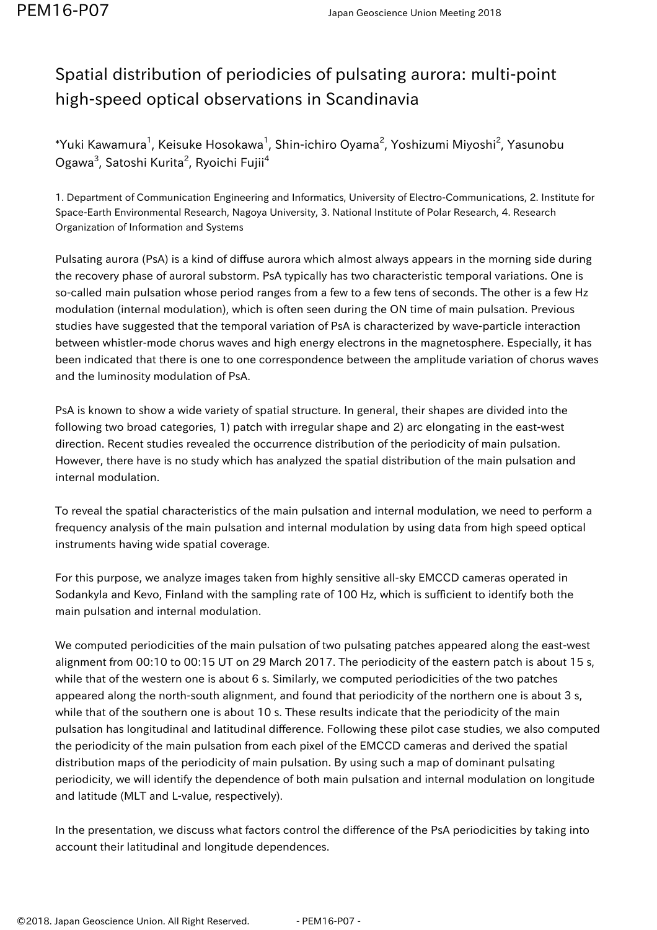## Spatial distribution of periodicies of pulsating aurora: multi-point high-speed optical observations in Scandinavia

 $^\ast$ Yuki Kawamura $^1$ , Keisuke Hosokawa $^1$ , Shin-ichiro Oyama $^2$ , Yoshizumi Miyoshi $^2$ , Yasunobu Ogawa<sup>3</sup>, Satoshi Kurita<sup>2</sup>, Ryoichi Fujii<sup>4</sup>

1. Department of Communication Engineering and Informatics, University of Electro-Communications, 2. Institute for Space-Earth Environmental Research, Nagoya University, 3. National Institute of Polar Research, 4. Research Organization of Information and Systems

Pulsating aurora (PsA) is a kind of diffuse aurora which almost always appears in the morning side during the recovery phase of auroral substorm. PsA typically has two characteristic temporal variations. One is so-called main pulsation whose period ranges from a few to a few tens of seconds. The other is a few Hz modulation (internal modulation), which is often seen during the ON time of main pulsation. Previous studies have suggested that the temporal variation of PsA is characterized by wave-particle interaction between whistler-mode chorus waves and high energy electrons in the magnetosphere. Especially, it has been indicated that there is one to one correspondence between the amplitude variation of chorus waves and the luminosity modulation of PsA.

PsA is known to show a wide variety of spatial structure. In general, their shapes are divided into the following two broad categories, 1) patch with irregular shape and 2) arc elongating in the east-west direction. Recent studies revealed the occurrence distribution of the periodicity of main pulsation. However, there have is no study which has analyzed the spatial distribution of the main pulsation and internal modulation.

To reveal the spatial characteristics of the main pulsation and internal modulation, we need to perform a frequency analysis of the main pulsation and internal modulation by using data from high speed optical instruments having wide spatial coverage.

For this purpose, we analyze images taken from highly sensitive all-sky EMCCD cameras operated in Sodankyla and Kevo, Finland with the sampling rate of 100 Hz, which is sufficient to identify both the main pulsation and internal modulation.

We computed periodicities of the main pulsation of two pulsating patches appeared along the east-west alignment from 00:10 to 00:15 UT on 29 March 2017. The periodicity of the eastern patch is about 15 s, while that of the western one is about 6 s. Similarly, we computed periodicities of the two patches appeared along the north-south alignment, and found that periodicity of the northern one is about 3 s, while that of the southern one is about 10 s. These results indicate that the periodicity of the main pulsation has longitudinal and latitudinal difference. Following these pilot case studies, we also computed the periodicity of the main pulsation from each pixel of the EMCCD cameras and derived the spatial distribution maps of the periodicity of main pulsation. By using such a map of dominant pulsating periodicity, we will identify the dependence of both main pulsation and internal modulation on longitude and latitude (MLT and L-value, respectively).

In the presentation, we discuss what factors control the difference of the PsA periodicities by taking into account their latitudinal and longitude dependences.